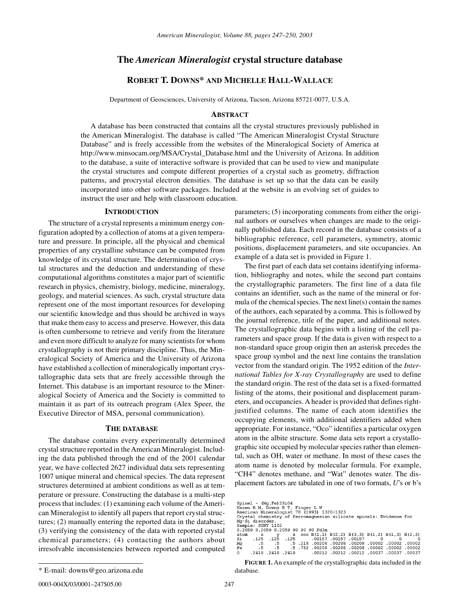## **The** *American Mineralogist* **crystal structure database**

# **ROBERT T. DOWNS\* AND MICHELLE HALL-WALLACE**

Department of Geosciences, University of Arizona, Tucson, Arizona 85721-0077, U.S.A.

#### **ABSTRACT**

A database has been constructed that contains all the crystal structures previously published in the American Mineralogist. The database is called "The American Mineralogist Crystal Structure Database" and is freely accessible from the websites of the Mineralogical Society of America at http://www.minsocam.org/MSA/Crystal\_Database.html and the University of Arizona. In addition to the database, a suite of interactive software is provided that can be used to view and manipulate the crystal structures and compute different properties of a crystal such as geometry, diffraction patterns, and procrystal electron densities. The database is set up so that the data can be easily incorporated into other software packages. Included at the website is an evolving set of guides to instruct the user and help with classroom education.

### **INTRODUCTION**

The structure of a crystal represents a minimum energy configuration adopted by a collection of atoms at a given temperature and pressure. In principle, all the physical and chemical properties of any crystalline substance can be computed from knowledge of its crystal structure. The determination of crystal structures and the deduction and understanding of these computational algorithms constitutes a major part of scientific research in physics, chemistry, biology, medicine, mineralogy, geology, and material sciences. As such, crystal structure data represent one of the most important resources for developing our scientific knowledge and thus should be archived in ways that make them easy to access and preserve. However, this data is often cumbersome to retrieve and verify from the literature and even more difficult to analyze for many scientists for whom crystallography is not their primary discipline. Thus, the Mineralogical Society of America and the University of Arizona have established a collection of mineralogically important crystallographic data sets that are freely accessible through the Internet. This database is an important resource to the Mineralogical Society of America and the Society is committed to maintain it as part of its outreach program (Alex Speer, the Executive Director of MSA, personal communication).

#### **THE DATABASE**

The database contains every experimentally determined crystal structure reported in the American Mineralogist. Including the data published through the end of the 2001 calendar year, we have collected 2627 individual data sets representing 1007 unique mineral and chemical species. The data represent structures determined at ambient conditions as well as at temperature or pressure. Constructing the database is a multi-step process that includes: (1) examining each volume of the American Mineralogist to identify all papers that report crystal structures; (2) manually entering the reported data in the database; (3) verifying the consistency of the data with reported crystal chemical parameters; (4) contacting the authors about irresolvable inconsistencies between reported and computed parameters; (5) incorporating comments from either the original authors or ourselves when changes are made to the originally published data. Each record in the database consists of a bibliographic reference, cell parameters, symmetry, atomic positions, displacement parameters, and site occupancies. An example of a data set is provided in Figure 1.

The first part of each data set contains identifying information, bibliography and notes, while the second part contains the crystallographic parameters. The first line of a data file contains an identifier, such as the name of the mineral or formula of the chemical species. The next line(s) contain the names of the authors, each separated by a comma. This is followed by the journal reference, title of the paper, and additional notes. The crystallographic data begins with a listing of the cell parameters and space group. If the data is given with respect to a non-standard space group origin then an asterisk precedes the space group symbol and the next line contains the translation vector from the standard origin. The 1952 edition of the *International Tables for X-ray Crystallography* are used to define the standard origin. The rest of the data set is a fixed-formatted listing of the atoms, their positional and displacement parameters, and occupancies. A header is provided that defines rightjustified columns. The name of each atom identifies the occupying elements, with additional identifiers added when appropriate. For instance, "Oco" identifies a particular oxygen atom in the albite structure. Some data sets report a crystallographic site occupied by molecular species rather than elemental, such as OH, water or methane. In most of these cases the atom name is denoted by molecular formula. For example, "CH4" denotes methane, and "Wat" denotes water. The displacement factors are tabulated in one of two formats, *U*'s or b's

Spinel - (Mg,Fe)2SiO4<br>Hazen R M, Downs R T, Finger L W<br>American Mineralogist 78 (1993) 1320-1323<br>Crystal chemistry of ferromagnesian silicate spinels: Evidence for Mg-Si disorder **Map-Side of the crystallographic data included in the crystallographic data included in the crystallographic data included in the crystallographic data included in the <b>FIGURE 1.** An example of the crystallographic data i

database.

<sup>\*</sup> E-mail: downs@geo.arizona.edu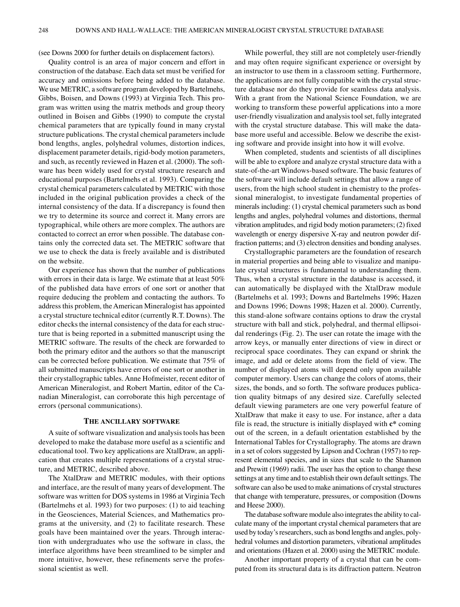(see Downs 2000 for further details on displacement factors).

Quality control is an area of major concern and effort in construction of the database. Each data set must be verified for accuracy and omissions before being added to the database. We use METRIC, a software program developed by Bartelmehs, Gibbs, Boisen, and Downs (1993) at Virginia Tech. This program was written using the matrix methods and group theory outlined in Boisen and Gibbs (1990) to compute the crystal chemical parameters that are typically found in many crystal structure publications. The crystal chemical parameters include bond lengths, angles, polyhedral volumes, distortion indices, displacement parameter details, rigid-body motion parameters, and such, as recently reviewed in Hazen et al. (2000). The software has been widely used for crystal structure research and educational purposes (Bartelmehs et al. 1993). Comparing the crystal chemical parameters calculated by METRIC with those included in the original publication provides a check of the internal consistency of the data. If a discrepancy is found then we try to determine its source and correct it. Many errors are typographical, while others are more complex. The authors are contacted to correct an error when possible. The database contains only the corrected data set. The METRIC software that we use to check the data is freely available and is distributed on the website.

Our experience has shown that the number of publications with errors in their data is large. We estimate that at least 50% of the published data have errors of one sort or another that require deducing the problem and contacting the authors. To address this problem, the American Mineralogist has appointed a crystal structure technical editor (currently R.T. Downs). The editor checks the internal consistency of the data for each structure that is being reported in a submitted manuscript using the METRIC software. The results of the check are forwarded to both the primary editor and the authors so that the manuscript can be corrected before publication. We estimate that 75% of all submitted manuscripts have errors of one sort or another in their crystallographic tables. Anne Hofmeister, recent editor of American Mineralogist, and Robert Martin, editor of the Canadian Mineralogist, can corroborate this high percentage of errors (personal communications).

#### **THE ANCILLARY SOFTWARE**

A suite of software visualization and analysis tools has been developed to make the database more useful as a scientific and educational tool. Two key applications are XtalDraw, an application that creates multiple representations of a crystal structure, and METRIC, described above.

The XtalDraw and METRIC modules, with their options and interface, are the result of many years of development. The software was written for DOS systems in 1986 at Virginia Tech (Bartelmehs et al. 1993) for two purposes: (1) to aid teaching in the Geosciences, Material Sciences, and Mathematics programs at the university, and (2) to facilitate research. These goals have been maintained over the years. Through interaction with undergraduates who use the software in class, the interface algorithms have been streamlined to be simpler and more intuitive, however, these refinements serve the professional scientist as well.

While powerful, they still are not completely user-friendly and may often require significant experience or oversight by an instructor to use them in a classroom setting. Furthermore, the applications are not fully compatible with the crystal structure database nor do they provide for seamless data analysis. With a grant from the National Science Foundation, we are working to transform these powerful applications into a more user-friendly visualization and analysis tool set, fully integrated with the crystal structure database. This will make the database more useful and accessible. Below we describe the existing software and provide insight into how it will evolve.

When completed, students and scientists of all disciplines will be able to explore and analyze crystal structure data with a state-of-the-art Windows-based software. The basic features of the software will include default settings that allow a range of users, from the high school student in chemistry to the professional mineralogist, to investigate fundamental properties of minerals including: (1) crystal chemical parameters such as bond lengths and angles, polyhedral volumes and distortions, thermal vibration amplitudes, and rigid body motion parameters; (2) fixed wavelength or energy dispersive X-ray and neutron powder diffraction patterns; and (3) electron densities and bonding analyses.

Crystallographic parameters are the foundation of research in material properties and being able to visualize and manipulate crystal structures is fundamental to understanding them. Thus, when a crystal structure in the database is accessed, it can automatically be displayed with the XtalDraw module (Bartelmehs et al. 1993; Downs and Bartelmehs 1996; Hazen and Downs 1996; Downs 1998; Hazen et al. 2000). Currently, this stand-alone software contains options to draw the crystal structure with ball and stick, polyhedral, and thermal ellipsoidal renderings (Fig. 2). The user can rotate the image with the arrow keys, or manually enter directions of view in direct or reciprocal space coordinates. They can expand or shrink the image, and add or delete atoms from the field of view. The number of displayed atoms will depend only upon available computer memory. Users can change the colors of atoms, their sizes, the bonds, and so forth. The software produces publication quality bitmaps of any desired size. Carefully selected default viewing parameters are one very powerful feature of XtalDraw that make it easy to use. For instance, after a data file is read, the structure is initially displayed with **c\*** coming out of the screen, in a default orientation established by the International Tables for Crystallography. The atoms are drawn in a set of colors suggested by Lipson and Cochran (1957) to represent elemental species, and in sizes that scale to the Shannon and Prewitt (1969) radii. The user has the option to change these settings at any time and to establish their own default settings. The software can also be used to make animations of crystal structures that change with temperature, pressures, or composition (Downs and Heese 2000).

The database software module also integrates the ability to calculate many of the important crystal chemical parameters that are used by today's researchers, such as bond lengths and angles, polyhedral volumes and distortion parameters, vibrational amplitudes and orientations (Hazen et al. 2000) using the METRIC module.

Another important property of a crystal that can be computed from its structural data is its diffraction pattern. Neutron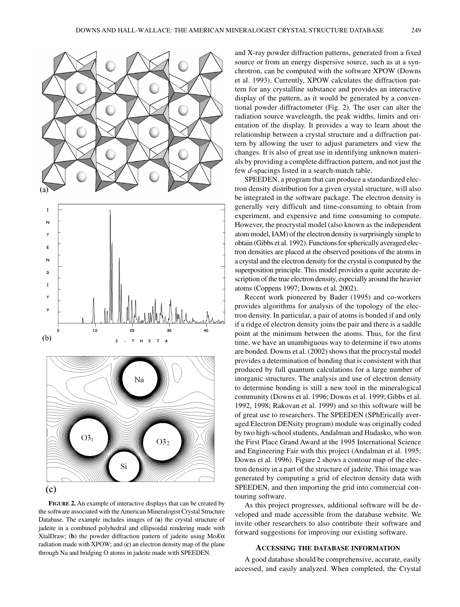

 $(c)$ 

**FIGURE 2.** An example of interactive displays that can be created by the software associated with the American Mineralogist Crystal Structure Database. The example includes images of (**a**) the crystal structure of jadeite in a combined polyhedral and ellipsoidal rendering made with XtalDraw; (**b**) the powder diffraction pattern of jadeite using Mo*K*a radiation made with XPOW; and (**c**) an electron density map of the plane through Na and bridging O atoms in jadeite made with SPEEDEN.

and X-ray powder diffraction patterns, generated from a fixed source or from an energy dispersive source, such as at a synchrotron, can be computed with the software XPOW (Downs et al. 1993). Currently, XPOW calculates the diffraction pattern for any crystalline substance and provides an interactive display of the pattern, as it would be generated by a conventional powder diffractometer (Fig. 2). The user can alter the radiation source wavelength, the peak widths, limits and orientation of the display. It provides a way to learn about the relationship between a crystal structure and a diffraction pattern by allowing the user to adjust parameters and view the changes. It is also of great use in identifying unknown materials by providing a complete diffraction pattern, and not just the few *d*-spacings listed in a search-match table.

SPEEDEN, a program that can produce a standardized electron density distribution for a given crystal structure, will also be integrated in the software package. The electron density is generally very difficult and time-consuming to obtain from experiment, and expensive and time consuming to compute. However, the procrystal model (also known as the independent atom model, IAM) of the electron density is surprisingly simple to obtain (Gibbs et al. 1992). Functions for spherically averaged electron densities are placed at the observed positions of the atoms in a crystal and the electron density for the crystal is computed by the superposition principle. This model provides a quite accurate description of the true electron density, especially around the heavier atoms (Coppens 1997; Downs et al. 2002).

Recent work pioneered by Bader (1995) and co-workers provides algorithms for analysis of the topology of the electron density. In particular, a pair of atoms is bonded if and only if a ridge of electron density joins the pair and there is a saddle point at the minimum between the atoms. Thus, for the first time, we have an unambiguous way to determine if two atoms are bonded. Downs et al. (2002) shows that the procrystal model provides a determination of bonding that is consistent with that produced by full quantum calculations for a large number of inorganic structures. The analysis and use of electron density to determine bonding is still a new tool in the mineralogical community (Downs et al. 1996; Downs et al. 1999; Gibbs et al. 1992, 1998; Rakovan et al. 1999) and so this software will be of great use to researchers. The SPEEDEN (SPhErically averaged Electron DENsity program) module was originally coded by two high-school students, Andalman and Hudasko, who won the First Place Grand Award at the 1995 International Science and Engineering Fair with this project (Andalman et al. 1995; Downs et al. 1996). Figure 2 shows a contour map of the electron density in a part of the structure of jadeite. This image was generated by computing a grid of electron density data with SPEEDEN, and then importing the grid into commercial contouring software.

As this project progresses, additional software will be developed and made accessible from the database website. We invite other researchers to also contribute their software and forward suggestions for improving our existing software.

### **ACCESSING THE DATABASE INFORMATION**

A good database should be comprehensive, accurate, easily accessed, and easily analyzed. When completed, the Crystal